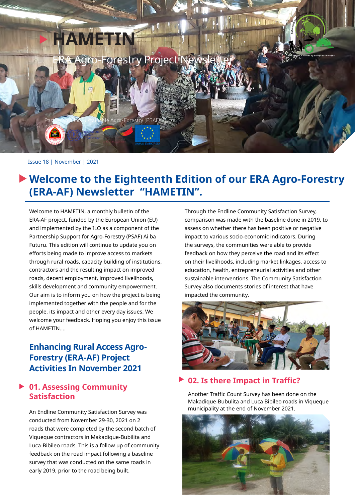

#### Issue 18 | November | 2021

# **Welcome to the Eighteenth Edition of our ERA Agro-Forestry (ERA-AF) Newsletter "HAMETIN".**

Welcome to HAMETIN, a monthly bulletin of the ERA-AF project, funded by the European Union (EU) and implemented by the ILO as a component of the Partnership Support for Agro-Forestry (PSAF) Ai ba Futuru. This edition will continue to update you on efforts being made to improve access to markets through rural roads, capacity building of institutions, contractors and the resulting impact on improved roads, decent employment, improved livelihoods, skills development and community empowerment. Our aim is to inform you on how the project is being implemented together with the people and for the people, its impact and other every day issues. We welcome your feedback. Hoping you enjoy this issue of HAMETIN....

## **Enhancing Rural Access Agro-Forestry (ERA-AF) Project Activities In November 2021**

### **01. Assessing Community Satisfaction**

An Endline Community Satisfaction Survey was conducted from November 29-30, 2021 on 2 roads that were completed by the second batch of Viqueque contractors in Makadique-Bubilita and Luca-Bibileo roads. This is a follow up of community feedback on the road impact following a baseline survey that was conducted on the same roads in early 2019, prior to the road being built.

Through the Endline Community Satisfaction Survey, comparison was made with the baseline done in 2019, to assess on whether there has been positive or negative impact to various socio-economic indicators. During the surveys, the communities were able to provide feedback on how they perceive the road and its effect on their livelihoods, including market linkages, access to education, health, entrepreneurial activities and other sustainable interventions. The Community Satisfaction Survey also documents stories of interest that have impacted the community.



#### **02. Is there Impact in Traffic?**

Another Traffic Count Survey has been done on the Makadique-Bubulita and Luca Bibileo roads in Viqueque municipality at the end of November 2021.

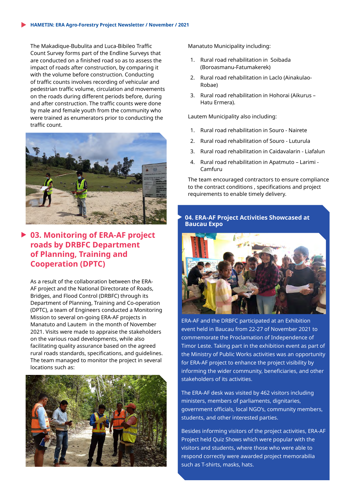The Makadique-Bubulita and Luca-Bibileo Traffic Count Survey forms part of the Endline Surveys that are conducted on a finished road so as to assess the impact of roads after construction, by comparing it with the volume before construction. Conducting of traffic counts involves recording of vehicular and pedestrian traffic volume, circulation and movements on the roads during different periods before, during and after construction. The traffic counts were done by male and female youth from the community who were trained as enumerators prior to conducting the traffic count.



### **03. Monitoring of ERA-AF project roads by DRBFC Department of Planning, Training and Cooperation (DPTC)**

As a result of the collaboration between the ERA-AF project and the National Directorate of Roads, Bridges, and Flood Control (DRBFC) through its Department of Planning, Training and Co-operation (DPTC), a team of Engineers conducted a Monitoring Mission to several on-going ERA-AF projects in Manatuto and Lautem in the month of November 2021. Visits were made to appraise the stakeholders on the various road developments, while also facilitating quality assurance based on the agreed rural roads standards, specifications, and guidelines. The team managed to monitor the project in several locations such as:



Manatuto Municipality including:

- 1. Rural road rehabilitation in Soibada (Boroasmanu-Fatumakerek)
- 2. Rural road rehabilitation in Laclo (Ainakulao-Robae)
- 3. Rural road rehabilitation in Hohorai (Aikurus Hatu Ermera).

Lautem Municipality also including:

- 1. Rural road rehabilitation in Souro Nairete
- 2. Rural road rehabilitation of Souro Luturula
- 3. Rural road rehabilitation in Caidavalarin Liafalun
- 4. Rural road rehabilitation in Apatmuto Larimi Camfuru

The team encouraged contractors to ensure compliance to the contract conditions , specifications and project requirements to enable timely delivery.

#### **04. ERA-AF Project Activities Showcased at Baucau Expo**



ERA-AF and the DRBFC participated at an Exhibition event held in Baucau from 22-27 of November 2021 to commemorate the Proclamation of Independence of Timor Leste. Taking part in the exhibition event as part of the Ministry of Public Works activities was an opportunity for ERA-AF project to enhance the project visibility by informing the wider community, beneficiaries, and other stakeholders of its activities.

The ERA-AF desk was visited by 462 visitors including ministers, members of parliaments, dignitaries, government officials, local NGO's, community members, students, and other interested parties.

Besides informing visitors of the project activities, ERA-AF Project held Quiz Shows which were popular with the visitors and students, where those who were able to respond correctly were awarded project memorabilia such as T-shirts, masks, hats.